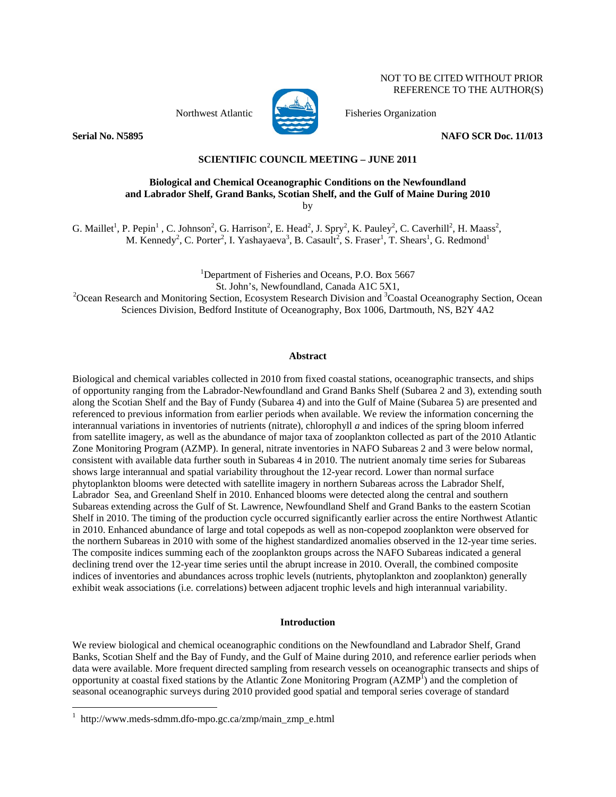NOT TO BE CITED WITHOUT PRIOR REFERENCE TO THE AUTHOR(S)



Northwest Atlantic Fisheries Organization

**Serial No. N5895** NAFO SCR Doc. 11/013

# **SCIENTIFIC COUNCIL MEETING – JUNE 2011**

### **Biological and Chemical Oceanographic Conditions on the Newfoundland and Labrador Shelf, Grand Banks, Scotian Shelf, and the Gulf of Maine During 2010**  by

G. Maillet<sup>1</sup>, P. Pepin<sup>1</sup>, C. Johnson<sup>2</sup>, G. Harrison<sup>2</sup>, E. Head<sup>2</sup>, J. Spry<sup>2</sup>, K. Pauley<sup>2</sup>, C. Caverhill<sup>2</sup>, H. Maass<sup>2</sup>, M. Kennedy<sup>2</sup>, C. Porter<sup>2</sup>, I. Yashayaeva<sup>3</sup>, B. Casault<sup>2</sup>, S. Fraser<sup>1</sup>, T. Shears<sup>1</sup>, G. Redmond<sup>1</sup>

<sup>1</sup>Department of Fisheries and Oceans, P.O. Box 5667

St. John's, Newfoundland, Canada A1C 5X1,<br><sup>2</sup>Ocean Research and Monitoring Section, Ecosystem Research Division and <sup>3</sup>Coastal Oceanography Section, Ocean Sciences Division, Bedford Institute of Oceanography, Box 1006, Dartmouth, NS, B2Y 4A2

### **Abstract**

Biological and chemical variables collected in 2010 from fixed coastal stations, oceanographic transects, and ships of opportunity ranging from the Labrador-Newfoundland and Grand Banks Shelf (Subarea 2 and 3), extending south along the Scotian Shelf and the Bay of Fundy (Subarea 4) and into the Gulf of Maine (Subarea 5) are presented and referenced to previous information from earlier periods when available. We review the information concerning the interannual variations in inventories of nutrients (nitrate), chlorophyll *a* and indices of the spring bloom inferred from satellite imagery, as well as the abundance of major taxa of zooplankton collected as part of the 2010 Atlantic Zone Monitoring Program (AZMP). In general, nitrate inventories in NAFO Subareas 2 and 3 were below normal, consistent with available data further south in Subareas 4 in 2010. The nutrient anomaly time series for Subareas shows large interannual and spatial variability throughout the 12-year record. Lower than normal surface phytoplankton blooms were detected with satellite imagery in northern Subareas across the Labrador Shelf, Labrador Sea, and Greenland Shelf in 2010. Enhanced blooms were detected along the central and southern Subareas extending across the Gulf of St. Lawrence, Newfoundland Shelf and Grand Banks to the eastern Scotian Shelf in 2010. The timing of the production cycle occurred significantly earlier across the entire Northwest Atlantic in 2010. Enhanced abundance of large and total copepods as well as non-copepod zooplankton were observed for the northern Subareas in 2010 with some of the highest standardized anomalies observed in the 12-year time series. The composite indices summing each of the zooplankton groups across the NAFO Subareas indicated a general declining trend over the 12-year time series until the abrupt increase in 2010. Overall, the combined composite indices of inventories and abundances across trophic levels (nutrients, phytoplankton and zooplankton) generally exhibit weak associations (i.e. correlations) between adjacent trophic levels and high interannual variability.

## **Introduction**

We review biological and chemical oceanographic conditions on the Newfoundland and Labrador Shelf, Grand Banks, Scotian Shelf and the Bay of Fundy, and the Gulf of Maine during 2010, and reference earlier periods when data were available. More frequent directed sampling from research vessels on oceanographic transects and ships of opportunity at coastal fixed stations by the Atlantic Zone Monitoring Program ( $AZMP<sup>1</sup>$ ) and the completion of seasonal oceanographic surveys during 2010 provided good spatial and temporal series coverage of standard

 $\overline{a}$ 

<sup>1</sup> http://www.meds-sdmm.dfo-mpo.gc.ca/zmp/main\_zmp\_e.html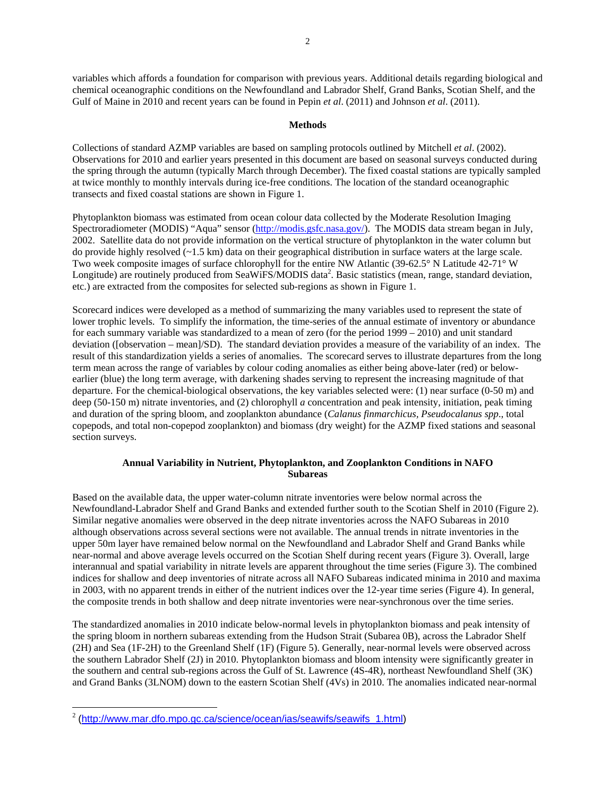variables which affords a foundation for comparison with previous years. Additional details regarding biological and chemical oceanographic conditions on the Newfoundland and Labrador Shelf, Grand Banks, Scotian Shelf, and the Gulf of Maine in 2010 and recent years can be found in Pepin *et al*. (2011) and Johnson *et al*. (2011).

# **Methods**

Collections of standard AZMP variables are based on sampling protocols outlined by Mitchell *et al*. (2002). Observations for 2010 and earlier years presented in this document are based on seasonal surveys conducted during the spring through the autumn (typically March through December). The fixed coastal stations are typically sampled at twice monthly to monthly intervals during ice-free conditions. The location of the standard oceanographic transects and fixed coastal stations are shown in Figure 1.

Phytoplankton biomass was estimated from ocean colour data collected by the Moderate Resolution Imaging Spectroradiometer (MODIS) "Aqua" sensor (http://modis.gsfc.nasa.gov/). The MODIS data stream began in July, 2002. Satellite data do not provide information on the vertical structure of phytoplankton in the water column but do provide highly resolved (~1.5 km) data on their geographical distribution in surface waters at the large scale. Two week composite images of surface chlorophyll for the entire NW Atlantic (39-62.5° N Latitude 42-71° W Longitude) are routinely produced from SeaWiFS/MODIS data<sup>2</sup>. Basic statistics (mean, range, standard deviation, etc.) are extracted from the composites for selected sub-regions as shown in Figure 1.

Scorecard indices were developed as a method of summarizing the many variables used to represent the state of lower trophic levels. To simplify the information, the time-series of the annual estimate of inventory or abundance for each summary variable was standardized to a mean of zero (for the period 1999 – 2010) and unit standard deviation ([observation – mean]/SD). The standard deviation provides a measure of the variability of an index. The result of this standardization yields a series of anomalies. The scorecard serves to illustrate departures from the long term mean across the range of variables by colour coding anomalies as either being above-later (red) or belowearlier (blue) the long term average, with darkening shades serving to represent the increasing magnitude of that departure. For the chemical-biological observations, the key variables selected were: (1) near surface (0-50 m) and deep (50-150 m) nitrate inventories, and (2) chlorophyll *a* concentration and peak intensity, initiation, peak timing and duration of the spring bloom, and zooplankton abundance (*Calanus finmarchicus, Pseudocalanus spp*., total copepods, and total non-copepod zooplankton) and biomass (dry weight) for the AZMP fixed stations and seasonal section surveys.

# **Annual Variability in Nutrient, Phytoplankton, and Zooplankton Conditions in NAFO Subareas**

Based on the available data, the upper water-column nitrate inventories were below normal across the Newfoundland-Labrador Shelf and Grand Banks and extended further south to the Scotian Shelf in 2010 (Figure 2). Similar negative anomalies were observed in the deep nitrate inventories across the NAFO Subareas in 2010 although observations across several sections were not available. The annual trends in nitrate inventories in the upper 50m layer have remained below normal on the Newfoundland and Labrador Shelf and Grand Banks while near-normal and above average levels occurred on the Scotian Shelf during recent years (Figure 3). Overall, large interannual and spatial variability in nitrate levels are apparent throughout the time series (Figure 3). The combined indices for shallow and deep inventories of nitrate across all NAFO Subareas indicated minima in 2010 and maxima in 2003, with no apparent trends in either of the nutrient indices over the 12-year time series (Figure 4). In general, the composite trends in both shallow and deep nitrate inventories were near-synchronous over the time series.

The standardized anomalies in 2010 indicate below-normal levels in phytoplankton biomass and peak intensity of the spring bloom in northern subareas extending from the Hudson Strait (Subarea 0B), across the Labrador Shelf (2H) and Sea (1F-2H) to the Greenland Shelf (1F) (Figure 5). Generally, near-normal levels were observed across the southern Labrador Shelf (2J) in 2010. Phytoplankton biomass and bloom intensity were significantly greater in the southern and central sub-regions across the Gulf of St. Lawrence (4S-4R), northeast Newfoundland Shelf (3K) and Grand Banks (3LNOM) down to the eastern Scotian Shelf (4Vs) in 2010. The anomalies indicated near-normal

 $\overline{a}$ 

<sup>&</sup>lt;sup>2</sup> (http://www.mar.dfo.mpo.gc.ca/science/ocean/ias/seawifs/seawifs\_1.html)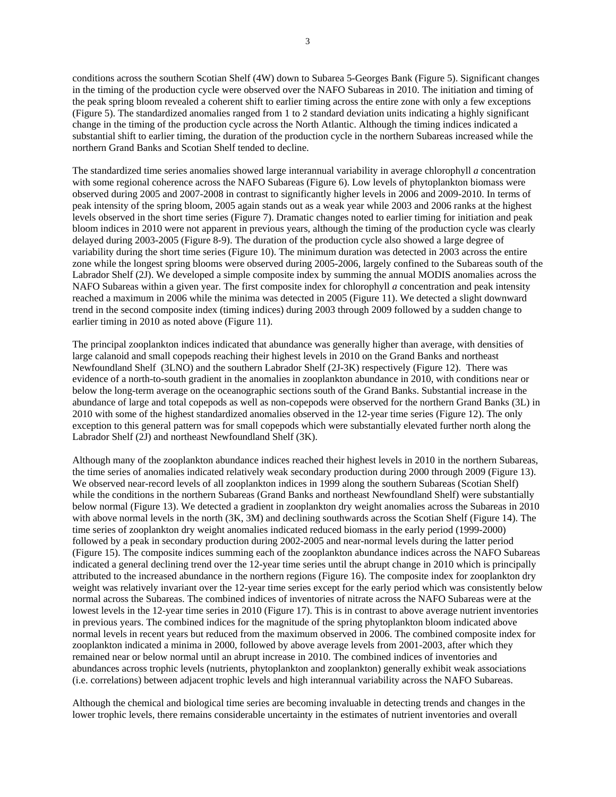conditions across the southern Scotian Shelf (4W) down to Subarea 5-Georges Bank (Figure 5). Significant changes in the timing of the production cycle were observed over the NAFO Subareas in 2010. The initiation and timing of the peak spring bloom revealed a coherent shift to earlier timing across the entire zone with only a few exceptions (Figure 5). The standardized anomalies ranged from 1 to 2 standard deviation units indicating a highly significant change in the timing of the production cycle across the North Atlantic. Although the timing indices indicated a substantial shift to earlier timing, the duration of the production cycle in the northern Subareas increased while the northern Grand Banks and Scotian Shelf tended to decline.

The standardized time series anomalies showed large interannual variability in average chlorophyll *a* concentration with some regional coherence across the NAFO Subareas (Figure 6). Low levels of phytoplankton biomass were observed during 2005 and 2007-2008 in contrast to significantly higher levels in 2006 and 2009-2010. In terms of peak intensity of the spring bloom, 2005 again stands out as a weak year while 2003 and 2006 ranks at the highest levels observed in the short time series (Figure 7). Dramatic changes noted to earlier timing for initiation and peak bloom indices in 2010 were not apparent in previous years, although the timing of the production cycle was clearly delayed during 2003-2005 (Figure 8-9). The duration of the production cycle also showed a large degree of variability during the short time series (Figure 10). The minimum duration was detected in 2003 across the entire zone while the longest spring blooms were observed during 2005-2006, largely confined to the Subareas south of the Labrador Shelf (2J). We developed a simple composite index by summing the annual MODIS anomalies across the NAFO Subareas within a given year. The first composite index for chlorophyll *a* concentration and peak intensity reached a maximum in 2006 while the minima was detected in 2005 (Figure 11). We detected a slight downward trend in the second composite index (timing indices) during 2003 through 2009 followed by a sudden change to earlier timing in 2010 as noted above (Figure 11).

The principal zooplankton indices indicated that abundance was generally higher than average, with densities of large calanoid and small copepods reaching their highest levels in 2010 on the Grand Banks and northeast Newfoundland Shelf (3LNO) and the southern Labrador Shelf (2J-3K) respectively (Figure 12). There was evidence of a north-to-south gradient in the anomalies in zooplankton abundance in 2010, with conditions near or below the long-term average on the oceanographic sections south of the Grand Banks. Substantial increase in the abundance of large and total copepods as well as non-copepods were observed for the northern Grand Banks (3L) in 2010 with some of the highest standardized anomalies observed in the 12-year time series (Figure 12). The only exception to this general pattern was for small copepods which were substantially elevated further north along the Labrador Shelf (2J) and northeast Newfoundland Shelf (3K).

Although many of the zooplankton abundance indices reached their highest levels in 2010 in the northern Subareas, the time series of anomalies indicated relatively weak secondary production during 2000 through 2009 (Figure 13). We observed near-record levels of all zooplankton indices in 1999 along the southern Subareas (Scotian Shelf) while the conditions in the northern Subareas (Grand Banks and northeast Newfoundland Shelf) were substantially below normal (Figure 13). We detected a gradient in zooplankton dry weight anomalies across the Subareas in 2010 with above normal levels in the north (3K, 3M) and declining southwards across the Scotian Shelf (Figure 14). The time series of zooplankton dry weight anomalies indicated reduced biomass in the early period (1999-2000) followed by a peak in secondary production during 2002-2005 and near-normal levels during the latter period (Figure 15). The composite indices summing each of the zooplankton abundance indices across the NAFO Subareas indicated a general declining trend over the 12-year time series until the abrupt change in 2010 which is principally attributed to the increased abundance in the northern regions (Figure 16). The composite index for zooplankton dry weight was relatively invariant over the 12-year time series except for the early period which was consistently below normal across the Subareas. The combined indices of inventories of nitrate across the NAFO Subareas were at the lowest levels in the 12-year time series in 2010 (Figure 17). This is in contrast to above average nutrient inventories in previous years. The combined indices for the magnitude of the spring phytoplankton bloom indicated above normal levels in recent years but reduced from the maximum observed in 2006. The combined composite index for zooplankton indicated a minima in 2000, followed by above average levels from 2001-2003, after which they remained near or below normal until an abrupt increase in 2010. The combined indices of inventories and abundances across trophic levels (nutrients, phytoplankton and zooplankton) generally exhibit weak associations (i.e. correlations) between adjacent trophic levels and high interannual variability across the NAFO Subareas.

Although the chemical and biological time series are becoming invaluable in detecting trends and changes in the lower trophic levels, there remains considerable uncertainty in the estimates of nutrient inventories and overall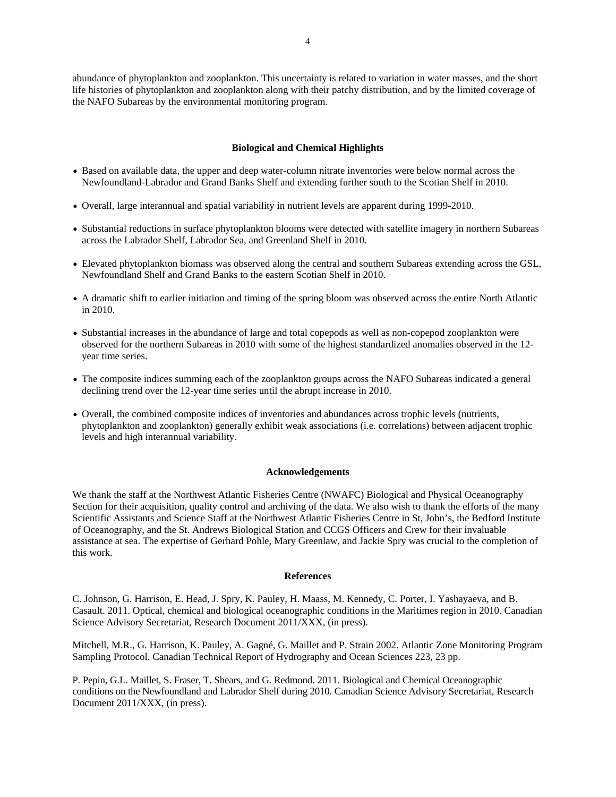abundance of phytoplankton and zooplankton. This uncertainty is related to variation in water masses, and the short life histories of phytoplankton and zooplankton along with their patchy distribution, and by the limited coverage of the NAFO Subareas by the environmental monitoring program.

### **Biological and Chemical Highlights**

- Based on available data, the upper and deep water-column nitrate inventories were below normal across the Newfoundland-Labrador and Grand Banks Shelf and extending further south to the Scotian Shelf in 2010.
- Overall, large interannual and spatial variability in nutrient levels are apparent during 1999-2010.
- Substantial reductions in surface phytoplankton blooms were detected with satellite imagery in northern Subareas across the Labrador Shelf, Labrador Sea, and Greenland Shelf in 2010.
- Elevated phytoplankton biomass was observed along the central and southern Subareas extending across the GSL, Newfoundland Shelf and Grand Banks to the eastern Scotian Shelf in 2010.
- A dramatic shift to earlier initiation and timing of the spring bloom was observed across the entire North Atlantic in 2010.
- Substantial increases in the abundance of large and total copepods as well as non-copepod zooplankton were observed for the northern Subareas in 2010 with some of the highest standardized anomalies observed in the 12 year time series.
- The composite indices summing each of the zooplankton groups across the NAFO Subareas indicated a general declining trend over the 12-year time series until the abrupt increase in 2010.
- Overall, the combined composite indices of inventories and abundances across trophic levels (nutrients, phytoplankton and zooplankton) generally exhibit weak associations (i.e. correlations) between adjacent trophic levels and high interannual variability.

#### **Acknowledgements**

We thank the staff at the Northwest Atlantic Fisheries Centre (NWAFC) Biological and Physical Oceanography Section for their acquisition, quality control and archiving of the data. We also wish to thank the efforts of the many Scientific Assistants and Science Staff at the Northwest Atlantic Fisheries Centre in St, John's, the Bedford Institute of Oceanography, and the St. Andrews Biological Station and CCGS Officers and Crew for their invaluable assistance at sea. The expertise of Gerhard Pohle, Mary Greenlaw, and Jackie Spry was crucial to the completion of this work.

#### **References**

C. Johnson, G. Harrison, E. Head, J. Spry, K. Pauley, H. Maass, M. Kennedy, C. Porter, I. Yashayaeva, and B. Casault. 2011. Optical, chemical and biological oceanographic conditions in the Maritimes region in 2010. Canadian Science Advisory Secretariat, Research Document 2011/XXX, (in press).

Mitchell, M.R., G. Harrison, K. Pauley, A. Gagné, G. Maillet and P. Strain 2002. Atlantic Zone Monitoring Program Sampling Protocol. Canadian Technical Report of Hydrography and Ocean Sciences 223, 23 pp.

P. Pepin, G.L. Maillet, S. Fraser, T. Shears, and G. Redmond. 2011. Biological and Chemical Oceanographic conditions on the Newfoundland and Labrador Shelf during 2010. Canadian Science Advisory Secretariat, Research Document 2011/XXX, (in press).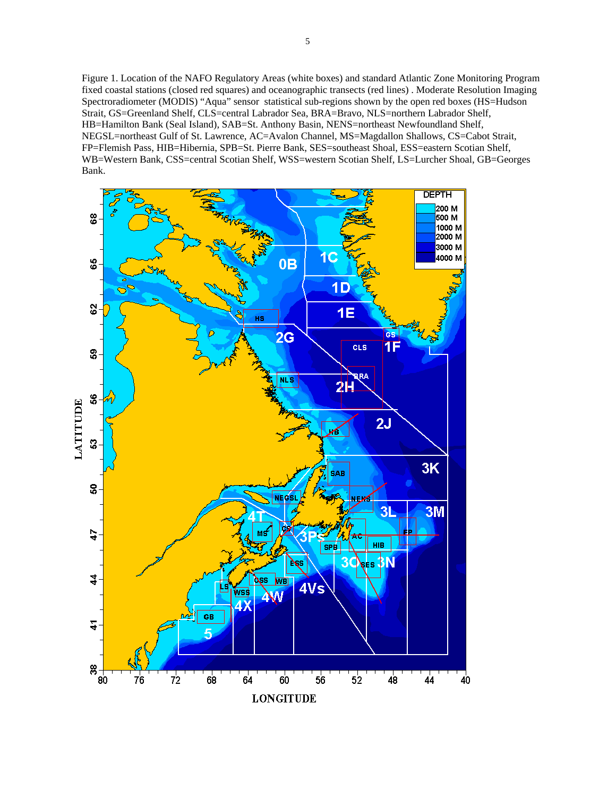Figure 1. Location of the NAFO Regulatory Areas (white boxes) and standard Atlantic Zone Monitoring Program fixed coastal stations (closed red squares) and oceanographic transects (red lines) . Moderate Resolution Imaging Spectroradiometer (MODIS) "Aqua" sensor statistical sub-regions shown by the open red boxes (HS=Hudson Strait, GS=Greenland Shelf, CLS=central Labrador Sea, BRA=Bravo, NLS=northern Labrador Shelf, HB=Hamilton Bank (Seal Island), SAB=St. Anthony Basin, NENS=northeast Newfoundland Shelf, NEGSL=northeast Gulf of St. Lawrence, AC=Avalon Channel, MS=Magdallon Shallows, CS=Cabot Strait, FP=Flemish Pass, HIB=Hibernia, SPB=St. Pierre Bank, SES=southeast Shoal, ESS=eastern Scotian Shelf, WB=Western Bank, CSS=central Scotian Shelf, WSS=western Scotian Shelf, LS=Lurcher Shoal, GB=Georges Bank.

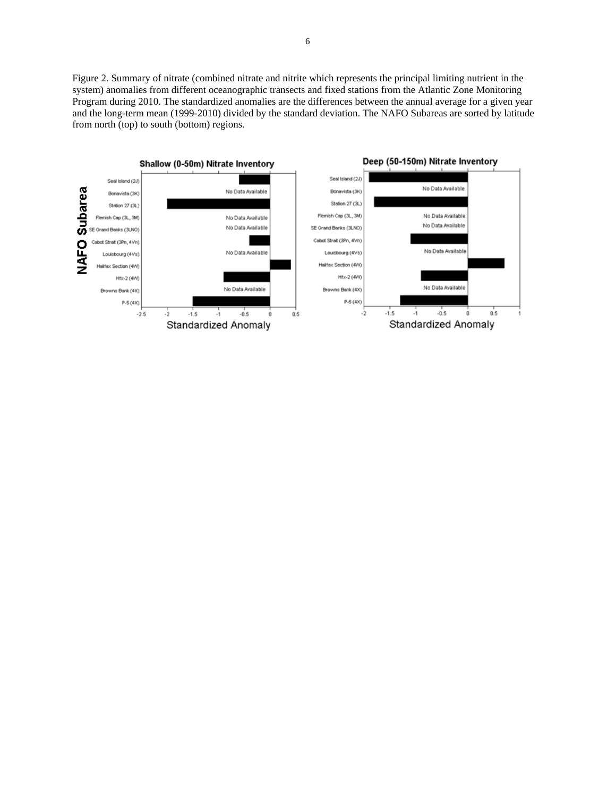Figure 2. Summary of nitrate (combined nitrate and nitrite which represents the principal limiting nutrient in the system) anomalies from different oceanographic transects and fixed stations from the Atlantic Zone Monitoring Program during 2010. The standardized anomalies are the differences between the annual average for a given year and the long-term mean (1999-2010) divided by the standard deviation. The NAFO Subareas are sorted by latitude from north (top) to south (bottom) regions.

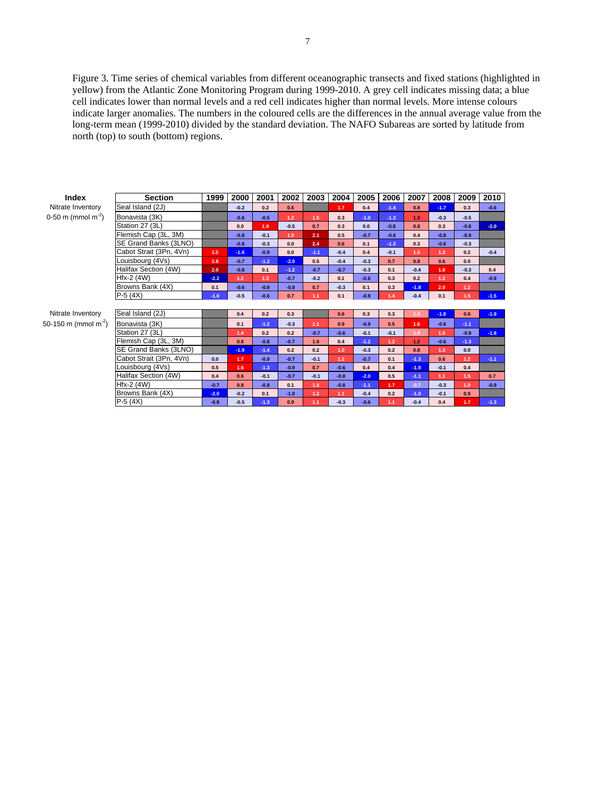Figure 3. Time series of chemical variables from different oceanographic transects and fixed stations (highlighted in yellow) from the Atlantic Zone Monitoring Program during 1999-2010. A grey cell indicates missing data; a blue cell indicates lower than normal levels and a red cell indicates higher than normal levels. More intense colours indicate larger anomalies. The numbers in the coloured cells are the differences in the annual average value from the long-term mean (1999-2010) divided by the standard deviation. The NAFO Subareas are sorted by latitude from north (top) to south (bottom) regions.

| Index                            | <b>Section</b>          | 1999   | 2000   | 2001   | 2002   | 2003   | 2004   | 2005   | 2006   | 2007             | 2008   | 2009             | 2010   |
|----------------------------------|-------------------------|--------|--------|--------|--------|--------|--------|--------|--------|------------------|--------|------------------|--------|
| Nitrate Inventory                | Seal Island (2J)        |        | $-0.2$ | 0.2    | 0.6    |        | $1.7$  | 0.4    | $-1.4$ | 0.8              | $-1.7$ | 0.3              | $-0.6$ |
| 0-50 m (mmol m <sup>-2</sup> )   | Bonavista (3K)          |        | $-0.6$ | $-0.5$ | $1.2$  | 1.5    | 0.3    | $-1.0$ | $-1.3$ | 1.3              | $-0.3$ | $-0.5$           |        |
|                                  | Station 27 (3L)         |        | 0.0    | 1.9    | $-0.5$ | 0.7    | 0.3    | 0.0    | $-0.8$ | 0.8              | 0.3    | $-0.6$           | $-2.0$ |
|                                  | Flemish Cap (3L, 3M)    |        | $-0.8$ | $-0.1$ | 1.0    | 2.1    | 0.5    | $-0.7$ | $-0.6$ | 0.4              | $-0.8$ | $-0.9$           |        |
|                                  | SE Grand Banks (3LNO)   |        | $-0.8$ | $-0.3$ | 0.0    | 2.4    | 0.6    | 0.1    | $-1.3$ | 0.3              | $-0.6$ | $-0.3$           |        |
|                                  | Cabot Strait (3Pn, 4Vn) | 1.5    | $-1.6$ | $-0.9$ | 0.0    | $-1.1$ | $-0.4$ | 0.4    | $-0.1$ | 1.0              | 1.3    | 0.2              | $-0.4$ |
|                                  | Louisbourg (4Vs)        | 1.8    | $-0.7$ | $-1.2$ | $-2.0$ | 0.5    | $-0.4$ | $-0.3$ | 0.7    | 0.9              | 0.6    | 0.0              |        |
|                                  | Halifax Section (4W)    | 2.0    | $-0.8$ | 0.1    | $-1.2$ | $-0.7$ | $-0.7$ | $-0.3$ | 0.1    | $-0.4$           | 1.8    | $-0.3$           | 0.4    |
|                                  | Hfx-2 (4W)              | $-2.2$ | 1.2    | 1.3    | $-0.7$ | $-0.2$ | 0.1    | $-0.6$ | 0.3    | 0.2              | 1.2    | 0.4              | $-0.9$ |
|                                  | Browns Bank (4X)        | 0.1    | $-0.6$ | $-0.8$ | $-0.9$ | 0.7    | $-0.3$ | 0.1    | 0.3    | $-1.8$           | 2.0    | 1.2 <sub>2</sub> |        |
|                                  | $P-5(4X)$               | $-1.0$ | $-0.5$ | $-0.6$ | 0.7    | 1.1    | 0.1    | $-0.9$ | 1.4    | $-0.4$           | 0.1    | 1.5              | $-1.5$ |
|                                  |                         |        |        |        |        |        |        |        |        |                  |        |                  |        |
| Nitrate Inventory                | Seal Island (2J)        |        | 0.4    | 0.2    | 0.3    |        | 0.6    | 0.3    | 0.3    | 1.0 <sub>1</sub> | $-1.8$ | 0.6              | $-1.9$ |
| 50-150 m (mmol m <sup>-2</sup> ) | Bonavista (3K)          |        | 0.1    | $-1.2$ | $-0.3$ | 1.1    | 0.9    | $-0.9$ | 0.5    | 1.6              | $-0.6$ | $-1.1$           |        |
|                                  | Station 27 (3L)         |        | 1.4    | 0.2    | 0.2    | $-0.7$ | $-0.6$ | $-0.1$ | $-0.1$ | 1.0 <sub>1</sub> | 1.5    | $-0.9$           | $-1.8$ |
|                                  | Flemish Cap (3L, 3M)    |        | 0.8    | $-0.8$ | $-0.7$ | 1.0    | 0.4    | $-1.2$ | 1.2    | 1.2              | $-0.6$ | $-1.3$           |        |
|                                  | SE Grand Banks (3LNO)   |        | $-1.9$ | $-1.4$ | 0.2    | 0.2    | 1.0    | $-0.3$ | 0.2    | 0.8              | 1.3    | 0.0              |        |
|                                  | Cabot Strait (3Pn, 4Vn) | 0.0    | 1.7    | $-0.9$ | $-0.7$ | $-0.1$ | 1.2    | $-0.7$ | 0.1    | $-1.3$           | 0.6    | 1.2 <sub>2</sub> | $-1.1$ |
|                                  | Louisbourg (4Vs)        | 0.5    | 1.6    | $-1.3$ | $-0.9$ | 0.7    | $-0.6$ | 0.4    | 0.4    | $-1.9$           | $-0.1$ | 0.4              |        |
|                                  | Halifax Section (4W)    | 0.4    | 0.6    | $-0.1$ | $-0.7$ | $-0.1$ | $-0.8$ | $-2.0$ | 0.5    | $-1.1$           | 1.1    | 1.5              | 0.7    |
|                                  | $Hfx-2$ (4W)            | $-0.7$ | 0.8    | $-0.8$ | 0.1    | 1.5    | $-0.8$ | $-1.1$ | 1.7    | $-0.7$           | $-0.3$ | 1.0              | $-0.9$ |
|                                  | Browns Bank (4X)        | $-2.0$ | $-0.2$ | 0.1    | $-1.0$ | 1.2    | 1.1    | $-0.4$ | 0.2    | $-1.0$           | $-0.1$ | 0.9              |        |
|                                  | $P-5(4X)$               | $-0.8$ | $-0.5$ | $-1.3$ | 0.9    | 1.1    | $-0.3$ | $-0.6$ | 1.1    | $-0.4$           | 0.4    | 1.7              | $-1.3$ |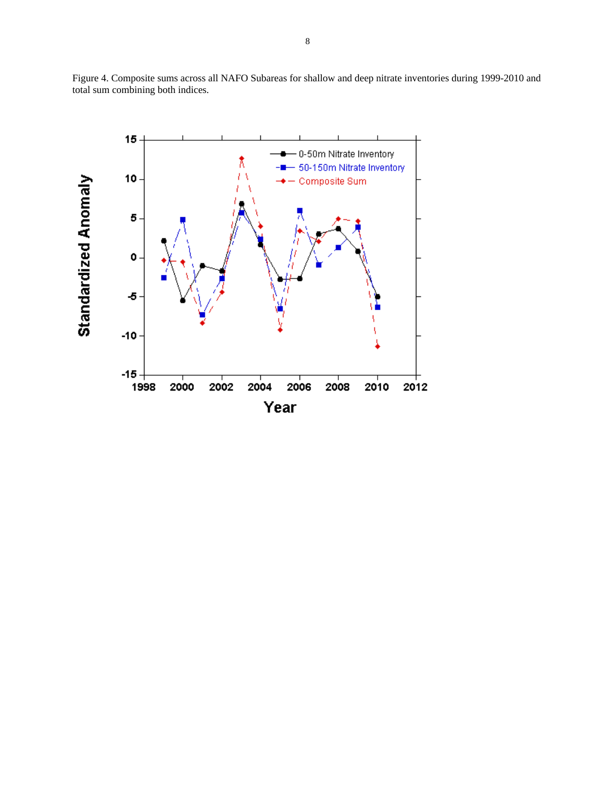

Figure 4. Composite sums across all NAFO Subareas for shallow and deep nitrate inventories during 1999-2010 and total sum combining both indices.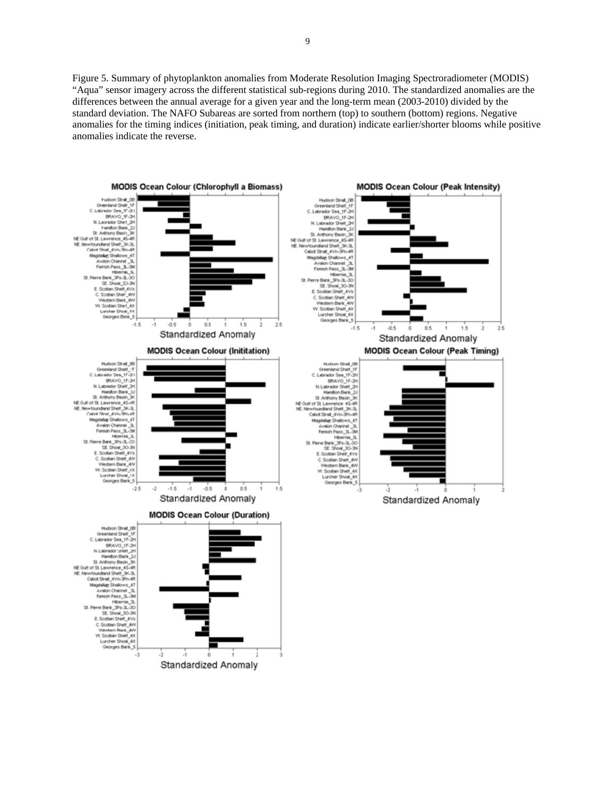Figure 5. Summary of phytoplankton anomalies from Moderate Resolution Imaging Spectroradiometer (MODIS) "Aqua" sensor imagery across the different statistical sub-regions during 2010. The standardized anomalies are the differences between the annual average for a given year and the long-term mean (2003-2010) divided by the standard deviation. The NAFO Subareas are sorted from northern (top) to southern (bottom) regions. Negative anomalies for the timing indices (initiation, peak timing, and duration) indicate earlier/shorter blooms while positive anomalies indicate the reverse.

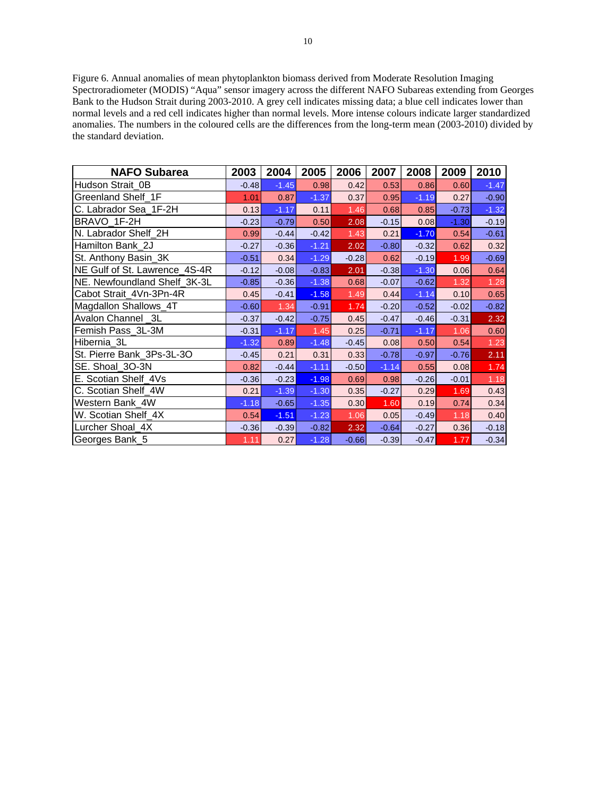Figure 6. Annual anomalies of mean phytoplankton biomass derived from Moderate Resolution Imaging Spectroradiometer (MODIS) "Aqua" sensor imagery across the different NAFO Subareas extending from Georges Bank to the Hudson Strait during 2003-2010. A grey cell indicates missing data; a blue cell indicates lower than normal levels and a red cell indicates higher than normal levels. More intense colours indicate larger standardized anomalies. The numbers in the coloured cells are the differences from the long-term mean (2003-2010) divided by the standard deviation.

| <b>NAFO Subarea</b>           | 2003    | 2004    | 2005    | 2006    | 2007    | 2008    | 2009    | 2010    |
|-------------------------------|---------|---------|---------|---------|---------|---------|---------|---------|
| Hudson Strait 0B              | $-0.48$ | $-1.45$ | 0.98    | 0.42    | 0.53    | 0.86    | 0.60    | $-1.47$ |
| Greenland Shelf 1F            | 1.01    | 0.87    | $-1.37$ | 0.37    | 0.95    | $-1.19$ | 0.27    | $-0.90$ |
| C. Labrador Sea_1F-2H         | 0.13    | $-1.17$ | 0.11    | 1.46    | 0.68    | 0.85    | $-0.73$ | $-1.32$ |
| BRAVO 1F-2H                   | $-0.23$ | $-0.79$ | 0.50    | 2.08    | $-0.15$ | 0.08    | $-1.30$ | $-0.19$ |
| N. Labrador Shelf 2H          | 0.99    | $-0.44$ | $-0.42$ | 1.43    | 0.21    | $-1.70$ | 0.54    | $-0.61$ |
| Hamilton Bank 2J              | $-0.27$ | $-0.36$ | $-1.21$ | 2.02    | $-0.80$ | $-0.32$ | 0.62    | 0.32    |
| St. Anthony Basin_3K          | $-0.51$ | 0.34    | $-1.29$ | $-0.28$ | 0.62    | $-0.19$ | 1.99    | $-0.69$ |
| NE Gulf of St. Lawrence 4S-4R | $-0.12$ | $-0.08$ | $-0.83$ | 2.01    | $-0.38$ | $-1.30$ | 0.06    | 0.64    |
| NE. Newfoundland Shelf_3K-3L  | $-0.85$ | $-0.36$ | $-1.38$ | 0.68    | $-0.07$ | $-0.62$ | 1.32    | 1.28    |
| Cabot Strait_4Vn-3Pn-4R       | 0.45    | $-0.41$ | $-1.58$ | 1.49    | 0.44    | $-1.14$ | 0.10    | 0.65    |
| Magdallon Shallows_4T         | $-0.60$ | 1.34    | $-0.91$ | 1.74    | $-0.20$ | $-0.52$ | $-0.02$ | $-0.82$ |
| Avalon Channel 3L             | $-0.37$ | $-0.42$ | $-0.75$ | 0.45    | $-0.47$ | $-0.46$ | $-0.31$ | 2.32    |
| Femish Pass_3L-3M             | $-0.31$ | $-1.17$ | 1.45    | 0.25    | $-0.71$ | $-1.17$ | 1.06    | 0.60    |
| Hibernia 3L                   | $-1.32$ | 0.89    | $-1.48$ | $-0.45$ | 0.08    | 0.50    | 0.54    | 1.23    |
| St. Pierre Bank_3Ps-3L-3O     | $-0.45$ | 0.21    | 0.31    | 0.33    | $-0.78$ | $-0.97$ | $-0.76$ | 2.11    |
| SE. Shoal 3O-3N               | 0.82    | $-0.44$ | $-1.11$ | $-0.50$ | $-1.14$ | 0.55    | 0.08    | 1.74    |
| E. Scotian Shelf 4Vs          | $-0.36$ | $-0.23$ | $-1.98$ | 0.69    | 0.98    | $-0.26$ | $-0.01$ | 1.18    |
| C. Scotian Shelf_4W           | 0.21    | $-1.39$ | $-1.30$ | 0.35    | $-0.27$ | 0.29    | 1.69    | 0.43    |
| Western Bank 4W               | $-1.18$ | $-0.65$ | $-1.35$ | 0.30    | 1.60    | 0.19    | 0.74    | 0.34    |
| W. Scotian Shelf_4X           | 0.54    | $-1.51$ | $-1.23$ | 1.06    | 0.05    | $-0.49$ | 1.18    | 0.40    |
| Lurcher Shoal 4X              | $-0.36$ | $-0.39$ | $-0.82$ | 2.32    | $-0.64$ | $-0.27$ | 0.36    | $-0.18$ |
| Georges Bank 5                | 1.11    | 0.27    | $-1.28$ | $-0.66$ | $-0.39$ | $-0.47$ | 1.77    | $-0.34$ |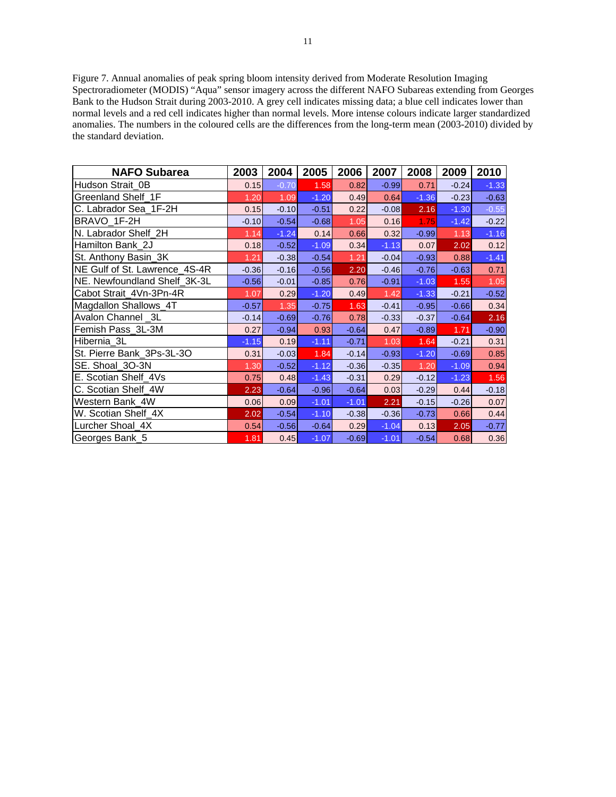Figure 7. Annual anomalies of peak spring bloom intensity derived from Moderate Resolution Imaging Spectroradiometer (MODIS) "Aqua" sensor imagery across the different NAFO Subareas extending from Georges Bank to the Hudson Strait during 2003-2010. A grey cell indicates missing data; a blue cell indicates lower than normal levels and a red cell indicates higher than normal levels. More intense colours indicate larger standardized anomalies. The numbers in the coloured cells are the differences from the long-term mean (2003-2010) divided by the standard deviation.

| <b>NAFO Subarea</b>           | 2003    | 2004    | 2005    | 2006    | 2007    | 2008    | 2009    | 2010    |
|-------------------------------|---------|---------|---------|---------|---------|---------|---------|---------|
| Hudson Strait 0B              | 0.15    | $-0.70$ | 1.58    | 0.82    | $-0.99$ | 0.71    | $-0.24$ | $-1.33$ |
| Greenland Shelf 1F            | 1.20    | 1.09    | $-1.20$ | 0.49    | 0.64    | $-1.36$ | $-0.23$ | $-0.63$ |
| C. Labrador Sea 1F-2H         | 0.15    | $-0.10$ | $-0.51$ | 0.22    | $-0.08$ | 2.16    | $-1.30$ | $-0.55$ |
| BRAVO 1F-2H                   | $-0.10$ | $-0.54$ | $-0.68$ | 1.05    | 0.16    | 1.75    | $-1.42$ | $-0.22$ |
| N. Labrador Shelf 2H          | 1.14    | $-1.24$ | 0.14    | 0.66    | 0.32    | $-0.99$ | 1.13    | $-1.16$ |
| Hamilton Bank_2J              | 0.18    | $-0.52$ | $-1.09$ | 0.34    | $-1.13$ | 0.07    | 2.02    | 0.12    |
| St. Anthony Basin_3K          | 1.21    | $-0.38$ | $-0.54$ | 1.21    | $-0.04$ | $-0.93$ | 0.88    | $-1.41$ |
| NE Gulf of St. Lawrence_4S-4R | $-0.36$ | $-0.16$ | $-0.56$ | 2.20    | $-0.46$ | $-0.76$ | $-0.63$ | 0.71    |
| NE. Newfoundland Shelf_3K-3L  | $-0.56$ | $-0.01$ | $-0.85$ | 0.76    | $-0.91$ | $-1.03$ | 1.55    | 1.05    |
| Cabot Strait_4Vn-3Pn-4R       | 1.07    | 0.29    | $-1.20$ | 0.49    | 1.42    | $-1.33$ | $-0.21$ | $-0.52$ |
| Magdallon Shallows_4T         | $-0.57$ | 1.35    | $-0.75$ | 1.63    | $-0.41$ | $-0.95$ | $-0.66$ | 0.34    |
| Avalon Channel _3L            | $-0.14$ | $-0.69$ | $-0.76$ | 0.78    | $-0.33$ | $-0.37$ | $-0.64$ | 2.16    |
| Femish Pass_3L-3M             | 0.27    | $-0.94$ | 0.93    | $-0.64$ | 0.47    | $-0.89$ | 1.71    | $-0.90$ |
| Hibernia 3L                   | $-1.15$ | 0.19    | $-1.11$ | $-0.71$ | 1.03    | 1.64    | $-0.21$ | 0.31    |
| St. Pierre Bank 3Ps-3L-3O     | 0.31    | $-0.03$ | 1.84    | $-0.14$ | $-0.93$ | $-1.20$ | $-0.69$ | 0.85    |
| SE. Shoal_3O-3N               | 1.30    | $-0.52$ | $-1.12$ | $-0.36$ | $-0.35$ | 1.20    | $-1.09$ | 0.94    |
| E. Scotian Shelf 4Vs          | 0.75    | 0.48    | $-1.43$ | $-0.31$ | 0.29    | $-0.12$ | $-1.23$ | 1.56    |
| C. Scotian Shelf 4W           | 2.23    | $-0.64$ | $-0.96$ | $-0.64$ | 0.03    | $-0.29$ | 0.44    | $-0.18$ |
| Western Bank 4W               | 0.06    | 0.09    | $-1.01$ | $-1.01$ | 2.21    | $-0.15$ | $-0.26$ | 0.07    |
| W. Scotian Shelf_4X           | 2.02    | $-0.54$ | $-1.10$ | $-0.38$ | $-0.36$ | $-0.73$ | 0.66    | 0.44    |
| Lurcher Shoal 4X              | 0.54    | $-0.56$ | $-0.64$ | 0.29    | $-1.04$ | 0.13    | 2.05    | $-0.77$ |
| Georges Bank_5                | 1.81    | 0.45    | $-1.07$ | $-0.69$ | $-1.01$ | $-0.54$ | 0.68    | 0.36    |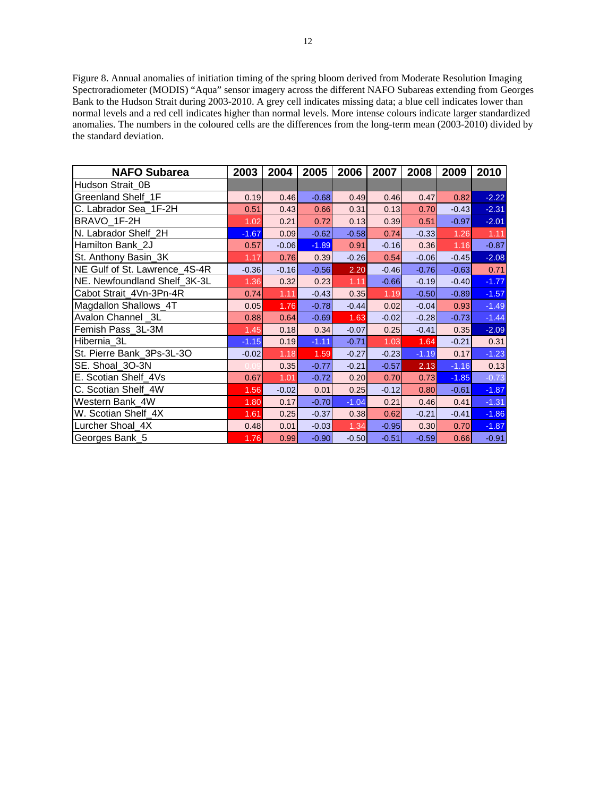Figure 8. Annual anomalies of initiation timing of the spring bloom derived from Moderate Resolution Imaging Spectroradiometer (MODIS) "Aqua" sensor imagery across the different NAFO Subareas extending from Georges Bank to the Hudson Strait during 2003-2010. A grey cell indicates missing data; a blue cell indicates lower than normal levels and a red cell indicates higher than normal levels. More intense colours indicate larger standardized anomalies. The numbers in the coloured cells are the differences from the long-term mean (2003-2010) divided by the standard deviation.

| <b>NAFO Subarea</b>           | 2003    | 2004    | 2005    | 2006    | 2007    | 2008    | 2009    | 2010    |
|-------------------------------|---------|---------|---------|---------|---------|---------|---------|---------|
| Hudson Strait 0B              |         |         |         |         |         |         |         |         |
| Greenland Shelf 1F            | 0.19    | 0.46    | $-0.68$ | 0.49    | 0.46    | 0.47    | 0.82    | $-2.22$ |
| C. Labrador Sea_1F-2H         | 0.51    | 0.43    | 0.66    | 0.31    | 0.13    | 0.70    | $-0.43$ | $-2.31$ |
| BRAVO 1F-2H                   | 1.02    | 0.21    | 0.72    | 0.13    | 0.39    | 0.51    | $-0.97$ | $-2.01$ |
| N. Labrador Shelf 2H          | $-1.67$ | 0.09    | $-0.62$ | $-0.58$ | 0.74    | $-0.33$ | 1.26    | 1.11    |
| Hamilton Bank 2J              | 0.57    | $-0.06$ | $-1.89$ | 0.91    | $-0.16$ | 0.36    | 1.16    | $-0.87$ |
| St. Anthony Basin 3K          | 1.17    | 0.76    | 0.39    | $-0.26$ | 0.54    | $-0.06$ | $-0.45$ | $-2.08$ |
| NE Gulf of St. Lawrence_4S-4R | $-0.36$ | $-0.16$ | $-0.56$ | 2.20    | $-0.46$ | $-0.76$ | $-0.63$ | 0.71    |
| NE. Newfoundland Shelf_3K-3L  | 1.36    | 0.32    | 0.23    | 1.11    | $-0.66$ | $-0.19$ | $-0.40$ | $-1.77$ |
| Cabot Strait_4Vn-3Pn-4R       | 0.74    | 1.11    | $-0.43$ | 0.35    | 1.19    | $-0.50$ | $-0.89$ | $-1.57$ |
| Magdallon Shallows_4T         | 0.05    | 1.76    | $-0.78$ | $-0.44$ | 0.02    | $-0.04$ | 0.93    | $-1.49$ |
| Avalon Channel _3L            | 0.88    | 0.64    | $-0.69$ | 1.63    | $-0.02$ | $-0.28$ | $-0.73$ | $-1.44$ |
| Femish Pass 3L-3M             | 1.45    | 0.18    | 0.34    | $-0.07$ | 0.25    | $-0.41$ | 0.35    | $-2.09$ |
| Hibernia 3L                   | $-1.15$ | 0.19    | $-1.11$ | $-0.71$ | 1.03    | 1.64    | $-0.21$ | 0.31    |
| St. Pierre Bank_3Ps-3L-3O     | $-0.02$ | 1.18    | 1.59    | $-0.27$ | $-0.23$ | $-1.19$ | 0.17    | $-1.23$ |
| SE. Shoal_3O-3N               |         | 0.35    | $-0.77$ | $-0.21$ | $-0.57$ | 2.13    | $-1.16$ | 0.13    |
| E. Scotian Shelf_4Vs          | 0.67    | 1.01    | $-0.72$ | 0.20    | 0.70    | 0.73    | $-1.85$ | $-0.73$ |
| C. Scotian Shelf 4W           | 1.56    | $-0.02$ | 0.01    | 0.25    | $-0.12$ | 0.80    | $-0.61$ | $-1.87$ |
| Western Bank 4W               | 1.80    | 0.17    | $-0.70$ | $-1.04$ | 0.21    | 0.46    | 0.41    | $-1.31$ |
| W. Scotian Shelf 4X           | 1.61    | 0.25    | $-0.37$ | 0.38    | 0.62    | $-0.21$ | $-0.41$ | $-1.86$ |
| Lurcher Shoal_4X              | 0.48    | 0.01    | $-0.03$ | 1.34    | $-0.95$ | 0.30    | 0.70    | $-1.87$ |
| Georges Bank_5                | 1.76    | 0.99    | $-0.90$ | $-0.50$ | $-0.51$ | $-0.59$ | 0.66    | $-0.91$ |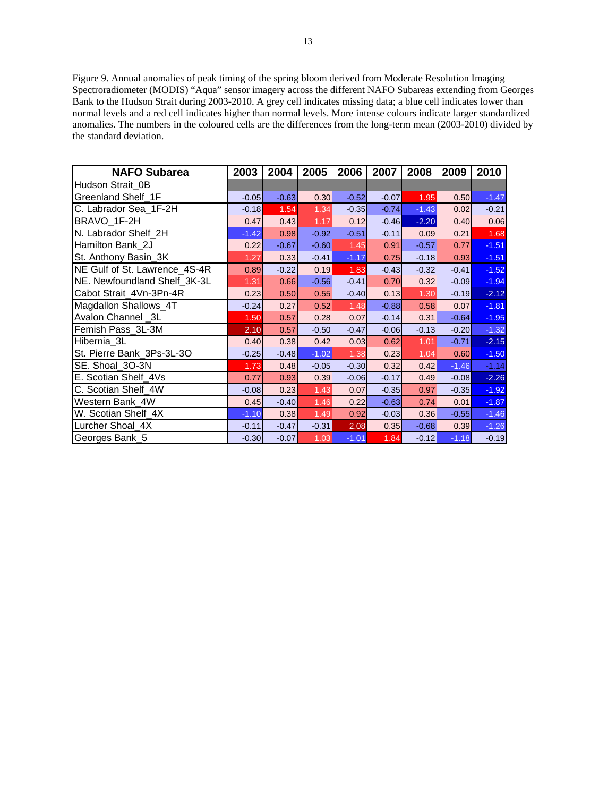Figure 9. Annual anomalies of peak timing of the spring bloom derived from Moderate Resolution Imaging Spectroradiometer (MODIS) "Aqua" sensor imagery across the different NAFO Subareas extending from Georges Bank to the Hudson Strait during 2003-2010. A grey cell indicates missing data; a blue cell indicates lower than normal levels and a red cell indicates higher than normal levels. More intense colours indicate larger standardized anomalies. The numbers in the coloured cells are the differences from the long-term mean (2003-2010) divided by the standard deviation.

| <b>NAFO Subarea</b>           | 2003    | 2004    | 2005    | 2006    | 2007    | 2008    | 2009    | 2010    |
|-------------------------------|---------|---------|---------|---------|---------|---------|---------|---------|
| Hudson Strait 0B              |         |         |         |         |         |         |         |         |
| Greenland Shelf 1F            | $-0.05$ | $-0.63$ | 0.30    | $-0.52$ | $-0.07$ | 1.95    | 0.50    | $-1.47$ |
| C. Labrador Sea_1F-2H         | $-0.18$ | $1.54$  | 1.34    | $-0.35$ | $-0.74$ | $-1.43$ | 0.02    | $-0.21$ |
| BRAVO 1F-2H                   | 0.47    | 0.43    | 1.17    | 0.12    | $-0.46$ | $-2.20$ | 0.40    | 0.06    |
| N. Labrador Shelf 2H          | $-1.42$ | 0.98    | $-0.92$ | $-0.51$ | $-0.11$ | 0.09    | 0.21    | 1.68    |
| Hamilton Bank 2J              | 0.22    | $-0.67$ | $-0.60$ | 1.45    | 0.91    | $-0.57$ | 0.77    | $-1.51$ |
| St. Anthony Basin_3K          | 1.27    | 0.33    | $-0.41$ | $-1.17$ | 0.75    | $-0.18$ | 0.93    | $-1.51$ |
| NE Gulf of St. Lawrence_4S-4R | 0.89    | $-0.22$ | 0.19    | 1.83    | $-0.43$ | $-0.32$ | $-0.41$ | $-1.52$ |
| NE. Newfoundland Shelf_3K-3L  | 1.31    | 0.66    | $-0.56$ | $-0.41$ | 0.70    | 0.32    | $-0.09$ | $-1.94$ |
| Cabot Strait_4Vn-3Pn-4R       | 0.23    | 0.50    | 0.55    | $-0.40$ | 0.13    | 1.30    | $-0.19$ | $-2.12$ |
| Magdallon Shallows_4T         | $-0.24$ | 0.27    | 0.52    | 1.48    | $-0.88$ | 0.58    | 0.07    | $-1.81$ |
| Avalon Channel _3L            | 1.50    | 0.57    | 0.28    | 0.07    | $-0.14$ | 0.31    | $-0.64$ | $-1.95$ |
| Femish Pass 3L-3M             | 2.10    | 0.57    | $-0.50$ | $-0.47$ | $-0.06$ | $-0.13$ | $-0.20$ | $-1.32$ |
| Hibernia 3L                   | 0.40    | 0.38    | 0.42    | 0.03    | 0.62    | 1.01    | $-0.71$ | $-2.15$ |
| St. Pierre Bank_3Ps-3L-3O     | $-0.25$ | $-0.48$ | $-1.02$ | 1.38    | 0.23    | 1.04    | 0.60    | $-1.50$ |
| SE. Shoal_3O-3N               | 1.73    | 0.48    | $-0.05$ | $-0.30$ | 0.32    | 0.42    | $-1.46$ | $-1.14$ |
| E. Scotian Shelf_4Vs          | 0.77    | 0.93    | 0.39    | $-0.06$ | $-0.17$ | 0.49    | $-0.08$ | $-2.26$ |
| C. Scotian Shelf_4W           | $-0.08$ | 0.23    | 1.43    | 0.07    | $-0.35$ | 0.97    | $-0.35$ | $-1.92$ |
| Western Bank 4W               | 0.45    | $-0.40$ | 1.46    | 0.22    | $-0.63$ | 0.74    | 0.01    | $-1.87$ |
| W. Scotian Shelf 4X           | $-1.10$ | 0.38    | 1.49    | 0.92    | $-0.03$ | 0.36    | $-0.55$ | $-1.46$ |
| Lurcher Shoal_4X              | $-0.11$ | $-0.47$ | $-0.31$ | 2.08    | 0.35    | $-0.68$ | 0.39    | $-1.26$ |
| Georges Bank_5                | $-0.30$ | $-0.07$ | 1.03    | $-1.01$ | 1.84    | $-0.12$ | $-1.18$ | $-0.19$ |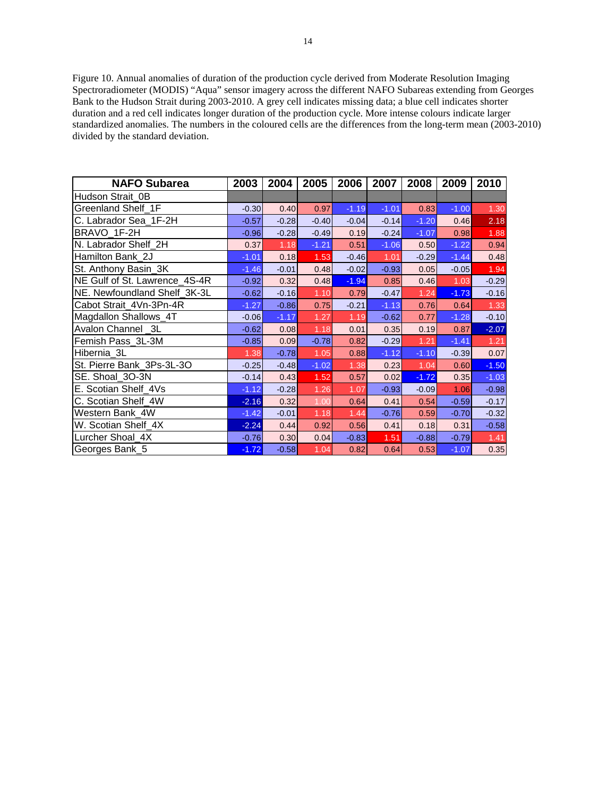Figure 10. Annual anomalies of duration of the production cycle derived from Moderate Resolution Imaging Spectroradiometer (MODIS) "Aqua" sensor imagery across the different NAFO Subareas extending from Georges Bank to the Hudson Strait during 2003-2010. A grey cell indicates missing data; a blue cell indicates shorter duration and a red cell indicates longer duration of the production cycle. More intense colours indicate larger standardized anomalies. The numbers in the coloured cells are the differences from the long-term mean (2003-2010) divided by the standard deviation.

| <b>NAFO Subarea</b>           | 2003    | 2004    | 2005    | 2006    | 2007    | 2008    | 2009    | 2010    |
|-------------------------------|---------|---------|---------|---------|---------|---------|---------|---------|
| Hudson Strait 0B              |         |         |         |         |         |         |         |         |
| Greenland Shelf 1F            | $-0.30$ | 0.40    | 0.97    | $-1.19$ | $-1.01$ | 0.83    | $-1.00$ | 1.30    |
| C. Labrador Sea 1F-2H         | $-0.57$ | $-0.28$ | $-0.40$ | $-0.04$ | $-0.14$ | $-1.20$ | 0.46    | 2.18    |
| BRAVO 1F-2H                   | $-0.96$ | $-0.28$ | $-0.49$ | 0.19    | $-0.24$ | $-1.07$ | 0.98    | 1.88    |
| N. Labrador Shelf_2H          | 0.37    | 1.18    | $-1.21$ | 0.51    | $-1.06$ | 0.50    | $-1.22$ | 0.94    |
| Hamilton Bank 2J              | $-1.01$ | 0.18    | 1.53    | $-0.46$ | 1.01    | $-0.29$ | $-1.44$ | 0.48    |
| St. Anthony Basin_3K          | $-1.46$ | $-0.01$ | 0.48    | $-0.02$ | $-0.93$ | 0.05    | $-0.05$ | 1.94    |
| NE Gulf of St. Lawrence_4S-4R | $-0.92$ | 0.32    | 0.48    | $-1.94$ | 0.85    | 0.46    | 1.03    | $-0.29$ |
| NE. Newfoundland Shelf_3K-3L  | $-0.62$ | $-0.16$ | 1.10    | 0.79    | $-0.47$ | 1.24    | $-1.73$ | $-0.16$ |
| Cabot Strait 4Vn-3Pn-4R       | $-1.27$ | $-0.86$ | 0.75    | $-0.21$ | $-1.13$ | 0.76    | 0.64    | 1.33    |
| Magdallon Shallows_4T         | $-0.06$ | $-1.17$ | 1.27    | 1.19    | $-0.62$ | 0.77    | $-1.28$ | $-0.10$ |
| Avalon Channel 3L             | $-0.62$ | 0.08    | 1.18    | 0.01    | 0.35    | 0.19    | 0.87    | $-2.07$ |
| Femish Pass_3L-3M             | $-0.85$ | 0.09    | $-0.78$ | 0.82    | $-0.29$ | 1.21    | $-1.41$ | 1.21    |
| Hibernia_3L                   | 1.38    | $-0.78$ | 1.05    | 0.88    | $-1.12$ | $-1.10$ | $-0.39$ | 0.07    |
| St. Pierre Bank 3Ps-3L-3O     | $-0.25$ | $-0.48$ | $-1.02$ | 1.38    | 0.23    | 1.04    | 0.60    | $-1.50$ |
| SE. Shoal 3O-3N               | $-0.14$ | 0.43    | 1.52    | 0.57    | 0.02    | $-1.72$ | 0.35    | $-1.03$ |
| E. Scotian Shelf_4Vs          | $-1.12$ | $-0.28$ | 1.26    | 1.07    | $-0.93$ | $-0.09$ | 1.06    | $-0.98$ |
| C. Scotian Shelf 4W           | $-2.16$ | 0.32    | 1.00    | 0.64    | 0.41    | 0.54    | $-0.59$ | $-0.17$ |
| Western Bank 4W               | $-1.42$ | $-0.01$ | 1.18    | 1.44    | $-0.76$ | 0.59    | $-0.70$ | $-0.32$ |
| W. Scotian Shelf_4X           | $-2.24$ | 0.44    | 0.92    | 0.56    | 0.41    | 0.18    | 0.31    | $-0.58$ |
| Lurcher Shoal 4X              | $-0.76$ | 0.30    | 0.04    | $-0.83$ | 1.51    | $-0.88$ | $-0.79$ | 1.41    |
| Georges Bank_5                | $-1.72$ | $-0.58$ | 1.04    | 0.82    | 0.64    | 0.53    | $-1.07$ | 0.35    |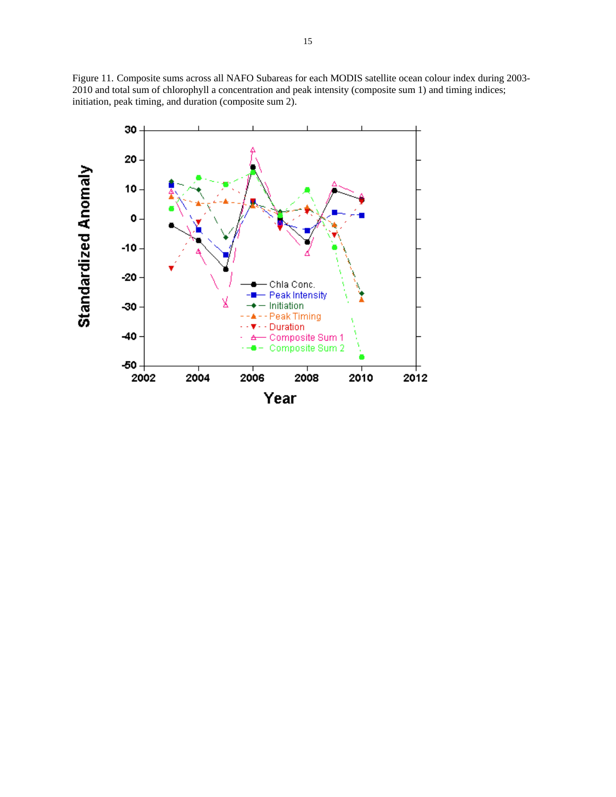Figure 11. Composite sums across all NAFO Subareas for each MODIS satellite ocean colour index during 2003- 2010 and total sum of chlorophyll a concentration and peak intensity (composite sum 1) and timing indices; initiation, peak timing, and duration (composite sum 2).

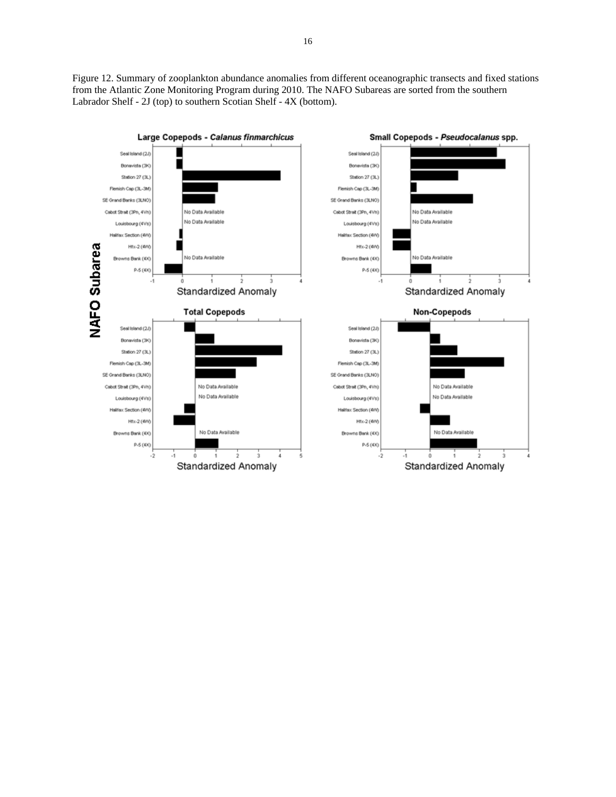Figure 12. Summary of zooplankton abundance anomalies from different oceanographic transects and fixed stations from the Atlantic Zone Monitoring Program during 2010. The NAFO Subareas are sorted from the southern Labrador Shelf - 2J (top) to southern Scotian Shelf - 4X (bottom).

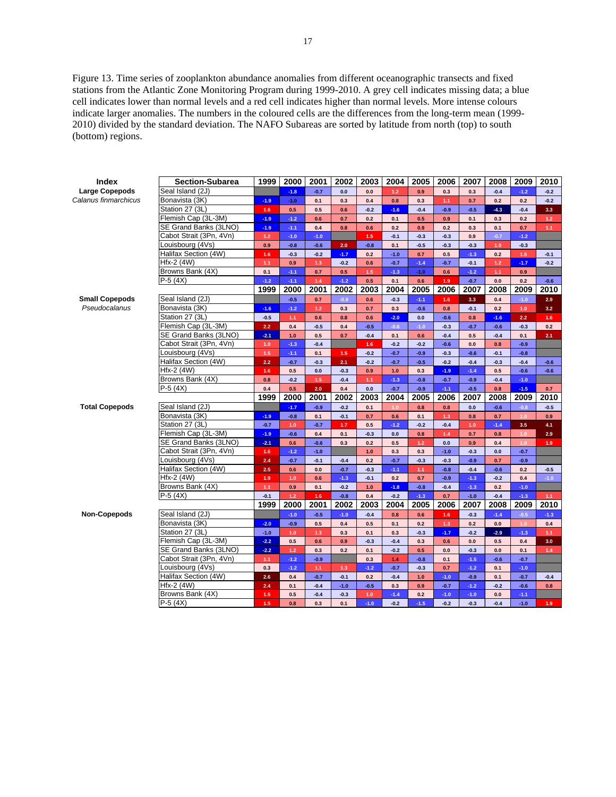Figure 13. Time series of zooplankton abundance anomalies from different oceanographic transects and fixed stations from the Atlantic Zone Monitoring Program during 1999-2010. A grey cell indicates missing data; a blue cell indicates lower than normal levels and a red cell indicates higher than normal levels. More intense colours indicate larger anomalies. The numbers in the coloured cells are the differences from the long-term mean (1999- 2010) divided by the standard deviation. The NAFO Subareas are sorted by latitude from north (top) to south (bottom) regions.

| Index                 | <b>Section-Subarea</b>                       | 1999       | 2000          | 2001            | 2002          | 2003          | 2004             | 2005            | 2006          | 2007             | 2008       | 2009             | 2010             |
|-----------------------|----------------------------------------------|------------|---------------|-----------------|---------------|---------------|------------------|-----------------|---------------|------------------|------------|------------------|------------------|
| <b>Large Copepods</b> | Seal Island (2J)                             |            | $-1.8$        | $-0.7$          | 0.0           | 0.0           | 1.2 <sub>2</sub> | 0.9             | 0.3           | 0.3              | $-0.4$     | $-1.2$           | $-0.2$           |
| Calanus finmarchicus  | Bonavista (3K)                               | $-1.9$     | $-1.0$        | 0.1             | 0.3           | 0.4           | 0.8              | 0.3             | 1.1           | 0.7              | 0.2        | 0.2              | $-0.2$           |
|                       | Station 27 (3L)                              | 1.6        | 0.5           | 0.5             | 0.6           | $-0.2$        | $-1.6$           | $-0.4$          | $-0.9$        | $-0.5$           | $-4.3$     | $-0.4$           | 3.3              |
|                       | Flemish Cap (3L-3M)                          | $-1.9$     | $-1.2$        | 0.6             | 0.7           | 0.2           | 0.1              | 0.5             | 0.9           | 0.1              | 0.3        | 0.2              | $1.2$            |
|                       | SE Grand Banks (3LNO)                        | $-1.9$     | $-1.1$        | 0.4             | 0.8           | 0.6           | 0.2              | 0.9             | 0.2           | 0.3              | 0.1        | 0.7              | 1.1              |
|                       | Cabot Strait (3Pn, 4Vn)                      | $1.2$      | $-1.0$        | $-1.0$          |               | 1.5           | $-0.1$           | $-0.3$          | $-0.3$        | 0.9              | $-0.7$     | $-1.2$           |                  |
|                       | Louisbourg (4Vs)                             | 0.9        | $-0.8$        | $-0.6$          | 2.0           | $-0.8$        | 0.1              | $-0.5$          | $-0.3$        | $-0.3$           | 1.0        | $-0.3$           |                  |
|                       | Halifax Section (4W)                         | 1.6        | $-0.3$        | $-0.2$          | $-1.7$        | 0.2           | $-1.0$           | 0.7             | 0.5           | $-1.3$           | 0.2        | 1.5              | $-0.1$           |
|                       | Hfx-2 (4W)                                   | 1.1        | 0.9           | $1.3$           | $-0.2$        | 0.6           | $-0.7$           | $-1.4$          | $-0.7$        | $-0.1$           | $1.2$      | $-1.7$           | $-0.2$           |
|                       | Browns Bank (4X)                             | 0.1        | $-1.1$        | 0.7             | 0.5           | 1.5           | $-1.3$           | $-1.0$          | 0.6           | $-1.2$           | 1.1        | 0.9              |                  |
|                       | $P-5(4X)$                                    | $-1.2$     | $-1.1$        | 1.4             | $-1.2$        | 0.5           | 0.1              | 0.6             | 1.9           | $-0.7$           | 0.0        | 0.2              | $-0.6$           |
|                       |                                              | 1999       | 2000          | 2001            | 2002          | 2003          | 2004             | 2005            | 2006          | 2007             | 2008       | 2009             | 2010             |
| <b>Small Copepods</b> | Seal Island (2J)                             |            | $-0.5$        | 0.7             | $-0.9$        | 0.6           | $-0.3$           | $-1.1$          | 1.6           | 3.3              | 0.4        | $-1.0$           | 2.9              |
| Pseudocalanus         | Bonavista (3K)                               | $-1.6$     | $-1.2$        | $1.2$           | 0.3           | 0.7           | 0.3              | $-0.6$          | 0.8           | $-0.1$           | 0.2        | 1.0              | 3.2              |
|                       | Station 27 (3L)                              | $-0.5$     | 1.1           | 0.6             | 0.8           | 0.6           | $-2.0$           | 0.0             | $-0.6$        | 0.8              | $-1.6$     | 2.2              | 1.6              |
|                       | Flemish Cap (3L-3M)                          | 2.2        | 0.4           | $-0.5$          | 0.4           | $-0.5$        | $-0.6$           | $-1.0$          | $-0.3$        | $-0.7$           | $-0.6$     | $-0.3$           | 0.2              |
|                       | SE Grand Banks (3LNO)                        | $-2.1$     | 1.0           | 0.5             | 0.7           | $-0.4$        | 0.1              | 0.6             | $-0.4$        | 0.5              | $-0.4$     | 0.1              | 2.1              |
|                       | Cabot Strait (3Pn, 4Vn)                      | 1.0        | $-1.3$        | $-0.4$          |               | 1.6           | $-0.2$           | $-0.2$          | $-0.6$        | 0.0              | 0.8        | $-0.9$           |                  |
|                       | Louisbourg (4Vs)                             | 1.5        | $-1.1$        | 0.1             | 1.5           | $-0.2$        | $-0.7$           | $-0.9$          | $-0.3$        | $-0.6$           | $-0.1$     | $-0.8$           |                  |
|                       | Halifax Section (4W)                         | 2.2        | $-0.7$        | $-0.3$          | 2.1           | $-0.2$        | $-0.7$           | $-0.5$          | $-0.2$        | $-0.4$           | $-0.3$     | $-0.4$           | $-0.6$           |
|                       | Hfx-2 (4W)                                   | 1.6        | 0.5           | 0.0             | $-0.3$        | 0.9           | $1.0$            | 0.3             | $-1.9$        | $-1.4$           | 0.5        | $-0.6$           | $-0.6$           |
|                       | Browns Bank (4X)                             | 0.8        | $-0.2$        | $1.5$           | $-0.4$        | 1.1           | $-1.3$           | $-0.8$          | $-0.7$        | $-0.9$           | $-0.4$     | $-1.0$           |                  |
|                       | $P-5(4X)$                                    | 0.4        | 0.5           | 2.0             | 0.4           | 0.0           | $-0.7$           | $-0.9$          | $-1.1$        | $-0.5$           | 0.8        | $-1.5$           | 0.7              |
|                       |                                              | 1999       | 2000          | 2001            | 2002          | 2003          | 2004             | 2005            | 2006          | 2007             | 2008       | 2009             | 2010             |
| <b>Total Copepods</b> | Seal Island (2J)                             |            | $-1.7$        | $-0.9$          | $-0.2$        | 0.1           | 1.0              | 0.8             | 0.8           | 0.0              | $-0.6$     | $-0.8$           | $-0.5$           |
|                       | Bonavista (3K)                               | $-1.9$     | $-0.8$        | 0.1             | $-0.1$        | 0.7           | 0.6              | 0.1             | $1.3$         | 0.8              | 0.7        | 1.0              | 0.9              |
|                       | Station 27 (3L)                              | $-0.7$     | 1.0           | $-0.7$          | 1.7           | 0.5           | $-1.2$           | $-0.2$          | $-0.4$        | 1.0              | $-1.4$     | 3.5              | 4.1              |
|                       | Flemish Cap (3L-3M)                          | $-1.9$     | $-0.6$        | 0.4             | 0.1           | $-0.3$        | 0.0              | 0.8             | 1.4           | 0.7              | 0.8        | 1.0 <sub>1</sub> | 2.9              |
|                       | SE Grand Banks (3LNO)                        | $-2.1$     | 0.6           | $-0.6$          | 0.3           | 0.2           | 0.5              | $1.2$           | 0.0           | 0.9              | 0.4        | 1.0 <sub>1</sub> | 1.9              |
|                       | Cabot Strait (3Pn, 4Vn)                      | 1.6        | $-1.2$        | $-1.0$          |               | 1.0           | 0.3              | 0.3             | $-1.0$        | $-0.3$           | 0.0        | $-0.7$           |                  |
|                       | Louisbourg (4Vs)                             | 2.4        | $-0.7$        | $-0.1$          | $-0.4$        | 0.2           | $-0.7$           | $-0.3$          | $-0.3$        | $-0.9$           | 0.7        | $-0.9$           |                  |
|                       | Halifax Section (4W)                         | 2.5        | 0.6           | 0.0             | $-0.7$        | $-0.3$        | $-1.1$           | 1.1             | $-0.8$        | $-0.4$           | $-0.6$     | 0.2              | $-0.5$           |
|                       | Hfx-2 (4W)                                   | 1.9        | 1.0           | 0.6             | $-1.3$        | $-0.1$        | 0.2              | 0.7             | $-0.9$        | $-1.3$           | $-0.2$     | 0.4              | $-1.0$           |
|                       | Browns Bank (4X)                             | 1.1        | 0.9           | 0.1             | $-0.2$        | 1.0           | $-1.8$           | $-0.8$          | $-0.4$        | $-1.3$           | 0.2        | $-1.0$           |                  |
|                       | $P-5(4X)$                                    | $-0.1$     | $1.2$         | 1.6             | $-0.8$        | 0.4           | $-0.2$           | $-1.3$          | 0.7           | $-1.0$           | $-0.4$     | $-1.3$           | 1.1              |
|                       |                                              | 1999       | 2000          | 2001            | 2002          | 2003          | 2004             | 2005            | 2006          | 2007             | 2008       | 2009             | 2010             |
| Non-Copepods          | Seal Island (2J)                             |            | $-1.0$        | $-0.5$          | $-1.0$        | $-0.4$        | 0.8              | 0.6             | 1.6           | $-0.3$           | $-1.4$     | $-0.5$           | $-1.3$           |
|                       | Bonavista (3K)                               | $-2.0$     | $-0.9$        | 0.5             | 0.4           | 0.5           | 0.1              | 0.2             | 1.3           | 0.2              | 0.0        | 1.0 <sub>1</sub> | 0.4              |
|                       | Station 27 (3L)                              | $-1.0$     | 1.0           | 1.3             | 0.3           | 0.1           | 0.3              | $-0.3$          | $-1.7$        | $-0.2$           | $-2.9$     | $-1.3$           | 1.1 <sub>1</sub> |
|                       | Flemish Cap (3L-3M)<br>SE Grand Banks (3LNO) | $-2.2$     | 0.5           | 0.6             | 0.9           | $-0.3$        | $-0.4$           | 0.3             | 0.6           | 0.0              | 0.5        | 0.4              | 3.0              |
|                       | Cabot Strait (3Pn, 4Vn)                      | $-2.2$     | $1.2$         | 0.3             | 0.2           | 0.1           | $-0.2$           | 0.5             | 0.0           | $-0.3$           | 0.0        | 0.1              | 1.4              |
|                       | Louisbourg (4Vs)                             | 1.1        | $-1.2$        | $-0.9$          |               | 0.3           | 1.4              | $-0.8$          | 0.1           | $-1.5$           | $-0.6$     | $-0.7$           |                  |
|                       | Halifax Section (4W)                         | 0.3<br>2.6 | $-1.2$<br>0.4 | $1.1$<br>$-0.7$ | 1.3<br>$-0.1$ | $-1.2$<br>0.2 | $-0.7$<br>$-0.4$ | $-0.3$<br>$1.0$ | 0.7<br>$-1.0$ | $-1.2$           | 0.1<br>0.1 | $-1.0$<br>$-0.7$ | $-0.4$           |
|                       | Hfx-2 (4W)                                   | 2.4        | 0.1           | $-0.4$          | $-1.0$        | $-0.5$        | 0.3              | 0.9             | $-0.7$        | $-0.9$<br>$-1.2$ | $-0.2$     | $-0.6$           | 0.8              |
|                       | Browns Bank (4X)                             | $1.5$      | 0.5           | $-0.4$          | $-0.3$        | 1.0           | $-1.4$           | 0.2             | $-1.0$        | $-1.0$           | 0.0        | $-1.1$           |                  |
|                       | $P-5(4X)$                                    | $1.5$      | 0.8           | 0.3             | 0.1           | $-1.0$        | $-0.2$           | $-1.5$          | $-0.2$        | $-0.3$           | $-0.4$     | $-1.0$           | 1.9              |
|                       |                                              |            |               |                 |               |               |                  |                 |               |                  |            |                  |                  |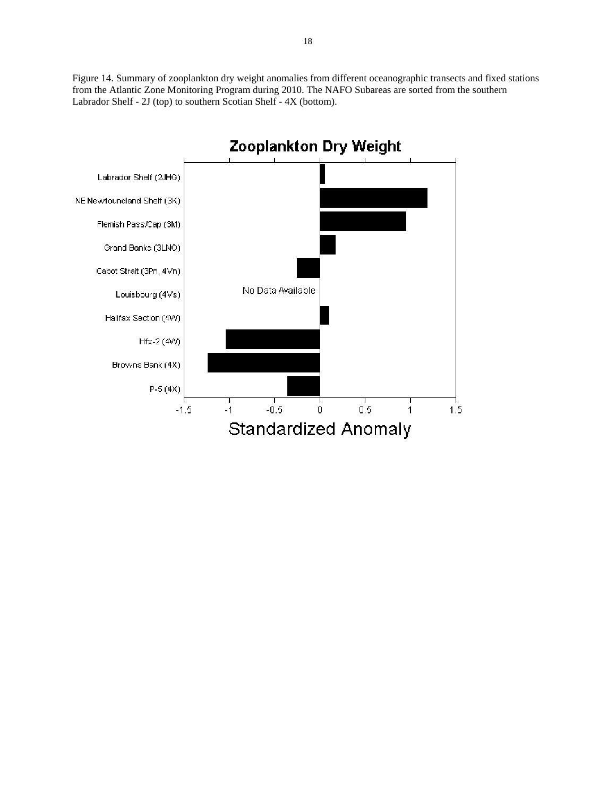Figure 14. Summary of zooplankton dry weight anomalies from different oceanographic transects and fixed stations from the Atlantic Zone Monitoring Program during 2010. The NAFO Subareas are sorted from the southern Labrador Shelf - 2J (top) to southern Scotian Shelf - 4X (bottom).

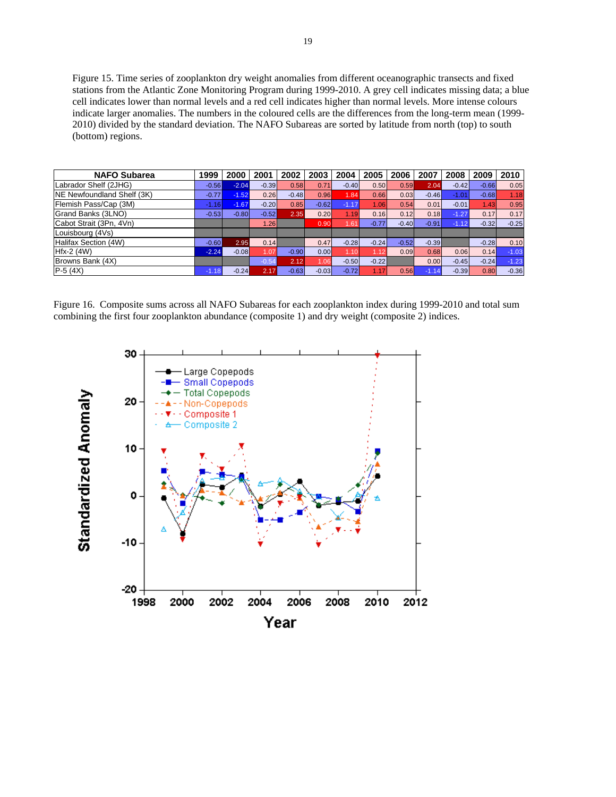Figure 15. Time series of zooplankton dry weight anomalies from different oceanographic transects and fixed stations from the Atlantic Zone Monitoring Program during 1999-2010. A grey cell indicates missing data; a blue cell indicates lower than normal levels and a red cell indicates higher than normal levels. More intense colours indicate larger anomalies. The numbers in the coloured cells are the differences from the long-term mean (1999- 2010) divided by the standard deviation. The NAFO Subareas are sorted by latitude from north (top) to south (bottom) regions.

| <b>NAFO Subarea</b>        | 1999    | 2000    | 2001    | 2002    | 2003    | 2004    | 2005    | 2006    | 2007    | 2008    | 2009    | 2010    |
|----------------------------|---------|---------|---------|---------|---------|---------|---------|---------|---------|---------|---------|---------|
| Labrador Shelf (2JHG)      | $-0.56$ | $-2.04$ | $-0.39$ | 0.58    | 0.71    | $-0.40$ | 0.50    | 0.59    | 2.04    | $-0.42$ | $-0.66$ | 0.05    |
| NE Newfoundland Shelf (3K) | $-0.77$ | $-1.52$ | 0.26    | $-0.48$ | 0.96    | 1.84    | 0.66    | 0.03    | $-0.46$ | $-1.01$ | $-0.68$ | 1.18    |
| Flemish Pass/Cap (3M)      | $-1.16$ | $-1.67$ | $-0.20$ | 0.85    | $-0.62$ | $-1.17$ | 1.06    | 0.54    | 0.01    | $-0.01$ | 1.43    | 0.95    |
| Grand Banks (3LNO)         | $-0.53$ | $-0.80$ | $-0.52$ | 2.35    | 0.20    | 1.19    | 0.16    | 0.12    | 0.18    | $-1.27$ | 0.17    | 0.17    |
| Cabot Strait (3Pn, 4Vn)    |         |         | 1.26I   |         | 0.90    | 1.61    | $-0.77$ | $-0.40$ | $-0.91$ | $-1.12$ | $-0.32$ | $-0.25$ |
| Louisbourg (4Vs)           |         |         |         |         |         |         |         |         |         |         |         |         |
| Halifax Section (4W)       | $-0.60$ | 2.95    | 0.14    |         | 0.47    | $-0.28$ | $-0.24$ | $-0.52$ | $-0.39$ |         | $-0.28$ | 0.10    |
| $Hfx-2$ (4W)               | $-2.24$ | $-0.08$ | 1.07    | $-0.90$ | 0.00    | 1.10    | 1.12    | 0.09    | 0.68    | 0.06    | 0.14    | $-1.03$ |
| Browns Bank (4X)           |         |         | $-0.54$ | 2.12    | .06'    | $-0.50$ | $-0.22$ |         | 0.00    | $-0.45$ | $-0.24$ | $-1.23$ |
| $P-5(4X)$                  | $-1.18$ | $-0.24$ | 2.17    | $-0.63$ | $-0.03$ | $-0.72$ | 1.17    | 0.56    | $-1.14$ | $-0.39$ | 0.80    | $-0.36$ |

Figure 16. Composite sums across all NAFO Subareas for each zooplankton index during 1999-2010 and total sum combining the first four zooplankton abundance (composite 1) and dry weight (composite 2) indices.